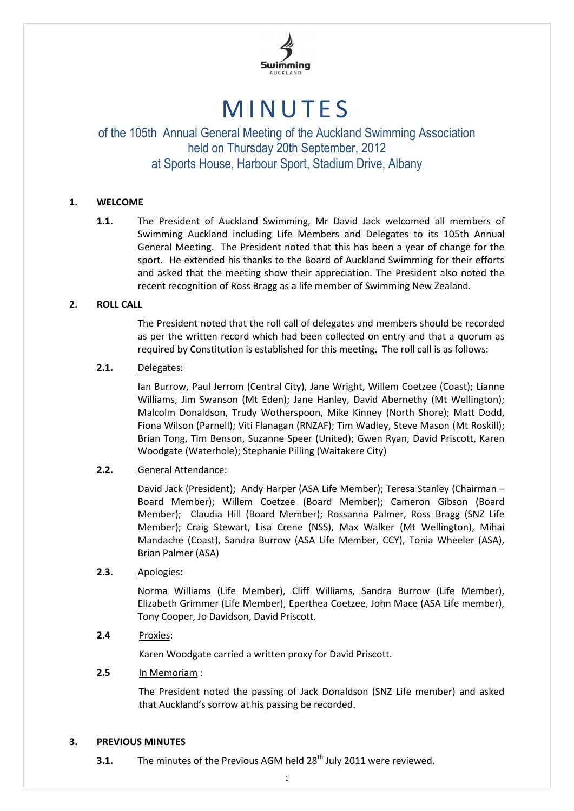

# **MINUTES**

### of the 105th Annual General Meeting of the Auckland Swimming Association held on Thursday 20th September, 2012 at Sports House, Harbour Sport, Stadium Drive, Albany

#### **1. WELCOME**

**1.1.** The President of Auckland Swimming, Mr David Jack welcomed all members of Swimming Auckland including Life Members and Delegates to its 105th Annual General Meeting. The President noted that this has been a year of change for the sport. He extended his thanks to the Board of Auckland Swimming for their efforts and asked that the meeting show their appreciation. The President also noted the recent recognition of Ross Bragg as a life member of Swimming New Zealand.

#### **2. ROLL CALL**

The President noted that the roll call of delegates and members should be recorded as per the written record which had been collected on entry and that a quorum as required by Constitution is established for this meeting. The roll call is as follows:

#### **2.1.** Delegates:

Ian Burrow, Paul Jerrom (Central City), Jane Wright, Willem Coetzee (Coast); Lianne Williams, Jim Swanson (Mt Eden); Jane Hanley, David Abernethy (Mt Wellington); Malcolm Donaldson, Trudy Wotherspoon, Mike Kinney (North Shore); Matt Dodd, Fiona Wilson (Parnell); Viti Flanagan (RNZAF); Tim Wadley, Steve Mason (Mt Roskill); Brian Tong, Tim Benson, Suzanne Speer (United); Gwen Ryan, David Priscott, Karen Woodgate (Waterhole); Stephanie Pilling (Waitakere City)

#### **2.2.** General Attendance:

David Jack (President); Andy Harper (ASA Life Member); Teresa Stanley (Chairman – Board Member); Willem Coetzee (Board Member); Cameron Gibson (Board Member); Claudia Hill (Board Member); Rossanna Palmer, Ross Bragg (SNZ Life Member); Craig Stewart, Lisa Crene (NSS), Max Walker (Mt Wellington), Mihai Mandache (Coast), Sandra Burrow (ASA Life Member, CCY), Tonia Wheeler (ASA), Brian Palmer (ASA)

#### **2.3.** Apologies**:**

Norma Williams (Life Member), Cliff Williams, Sandra Burrow (Life Member), Elizabeth Grimmer (Life Member), Eperthea Coetzee, John Mace (ASA Life member), Tony Cooper, Jo Davidson, David Priscott.

#### **2.4** Proxies:

Karen Woodgate carried a written proxy for David Priscott.

#### **2.5** In Memoriam :

The President noted the passing of Jack Donaldson (SNZ Life member) and asked that Auckland's sorrow at his passing be recorded.

#### **3. PREVIOUS MINUTES**

**3.1.** The minutes of the Previous AGM held 28<sup>th</sup> July 2011 were reviewed.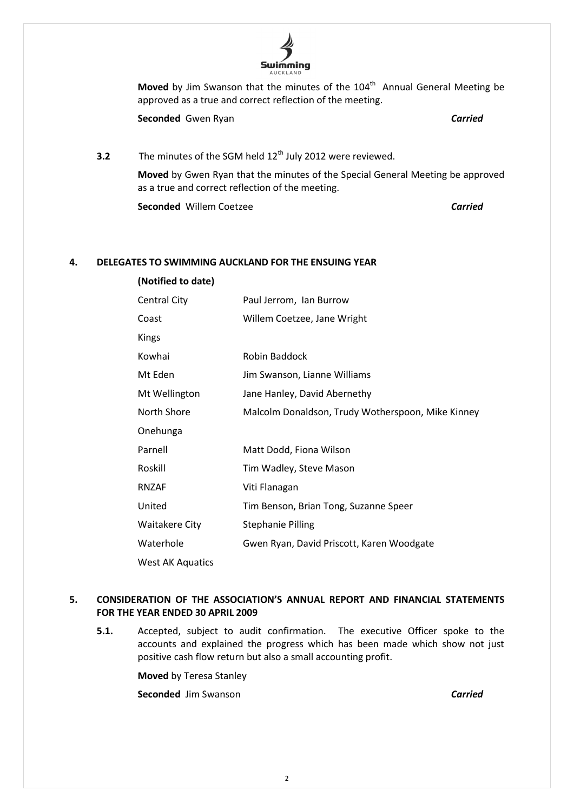

Moved by Jim Swanson that the minutes of the 104<sup>th</sup> Annual General Meeting be approved as a true and correct reflection of the meeting.

**Seconded** Gwen Ryan *Carried*

**3.2** The minutes of the SGM held 12<sup>th</sup> July 2012 were reviewed.

**Moved** by Gwen Ryan that the minutes of the Special General Meeting be approved as a true and correct reflection of the meeting.

**Seconded** Willem Coetzee *Carried*

**(Notified to date)**

#### **4. DELEGATES TO SWIMMING AUCKLAND FOR THE ENSUING YEAR**

| Central City            | Paul Jerrom, Ian Burrow                           |
|-------------------------|---------------------------------------------------|
| Coast                   | Willem Coetzee, Jane Wright                       |
| Kings                   |                                                   |
| Kowhai                  | Robin Baddock                                     |
| Mt Eden                 | Jim Swanson, Lianne Williams                      |
| Mt Wellington           | Jane Hanley, David Abernethy                      |
| North Shore             | Malcolm Donaldson, Trudy Wotherspoon, Mike Kinney |
| Onehunga                |                                                   |
| Parnell                 | Matt Dodd, Fiona Wilson                           |
| Roskill                 | Tim Wadley, Steve Mason                           |
| <b>RNZAF</b>            | Viti Flanagan                                     |
| United                  | Tim Benson, Brian Tong, Suzanne Speer             |
| Waitakere City          | <b>Stephanie Pilling</b>                          |
| Waterhole               | Gwen Ryan, David Priscott, Karen Woodgate         |
| <b>West AK Aquatics</b> |                                                   |

#### **5. CONSIDERATION OF THE ASSOCIATION'S ANNUAL REPORT AND FINANCIAL STATEMENTS FOR THE YEAR ENDED 30 APRIL 2009**

**5.1.** Accepted, subject to audit confirmation. The executive Officer spoke to the accounts and explained the progress which has been made which show not just positive cash flow return but also a small accounting profit.

> **Moved** by Teresa Stanley **Seconded** Jim Swanson *Carried*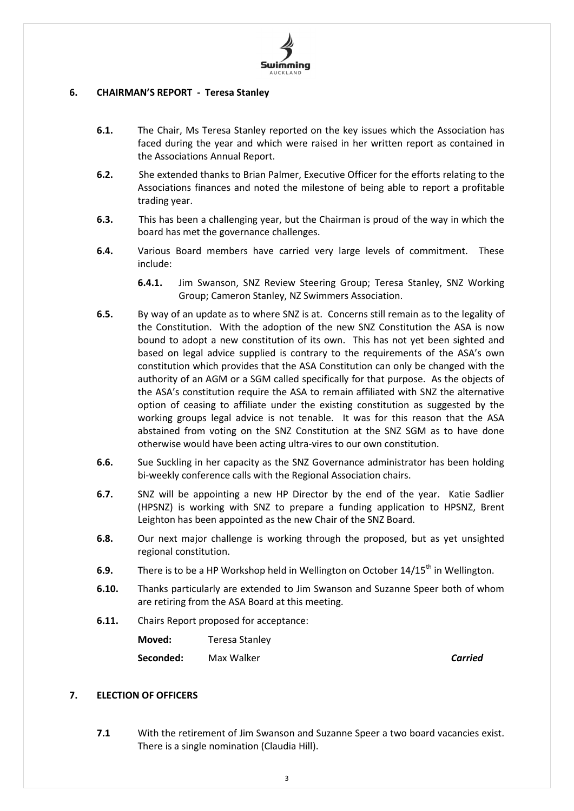

#### **6. CHAIRMAN'S REPORT - Teresa Stanley**

- **6.1.** The Chair, Ms Teresa Stanley reported on the key issues which the Association has faced during the year and which were raised in her written report as contained in the Associations Annual Report.
- **6.2.** She extended thanks to Brian Palmer, Executive Officer for the efforts relating to the Associations finances and noted the milestone of being able to report a profitable trading year.
- **6.3.** This has been a challenging year, but the Chairman is proud of the way in which the board has met the governance challenges.
- **6.4.** Various Board members have carried very large levels of commitment. These include:
	- **6.4.1.** Jim Swanson, SNZ Review Steering Group; Teresa Stanley, SNZ Working Group; Cameron Stanley, NZ Swimmers Association.
- **6.5.** By way of an update as to where SNZ is at. Concerns still remain as to the legality of the Constitution. With the adoption of the new SNZ Constitution the ASA is now bound to adopt a new constitution of its own. This has not yet been sighted and based on legal advice supplied is contrary to the requirements of the ASA's own constitution which provides that the ASA Constitution can only be changed with the authority of an AGM or a SGM called specifically for that purpose. As the objects of the ASA's constitution require the ASA to remain affiliated with SNZ the alternative option of ceasing to affiliate under the existing constitution as suggested by the working groups legal advice is not tenable. It was for this reason that the ASA abstained from voting on the SNZ Constitution at the SNZ SGM as to have done otherwise would have been acting ultra-vires to our own constitution.
- **6.6.** Sue Suckling in her capacity as the SNZ Governance administrator has been holding bi-weekly conference calls with the Regional Association chairs.
- **6.7.** SNZ will be appointing a new HP Director by the end of the year. Katie Sadlier (HPSNZ) is working with SNZ to prepare a funding application to HPSNZ, Brent Leighton has been appointed as the new Chair of the SNZ Board.
- **6.8.** Our next major challenge is working through the proposed, but as yet unsighted regional constitution.
- **6.9.** There is to be a HP Workshop held in Wellington on October 14/15<sup>th</sup> in Wellington.
- **6.10.** Thanks particularly are extended to Jim Swanson and Suzanne Speer both of whom are retiring from the ASA Board at this meeting.
- **6.11.** Chairs Report proposed for acceptance:

**Moved:** Teresa Stanley

**Seconded:** Max Walker *Carried*

#### **7. ELECTION OF OFFICERS**

**7.1** With the retirement of Jim Swanson and Suzanne Speer a two board vacancies exist. There is a single nomination (Claudia Hill).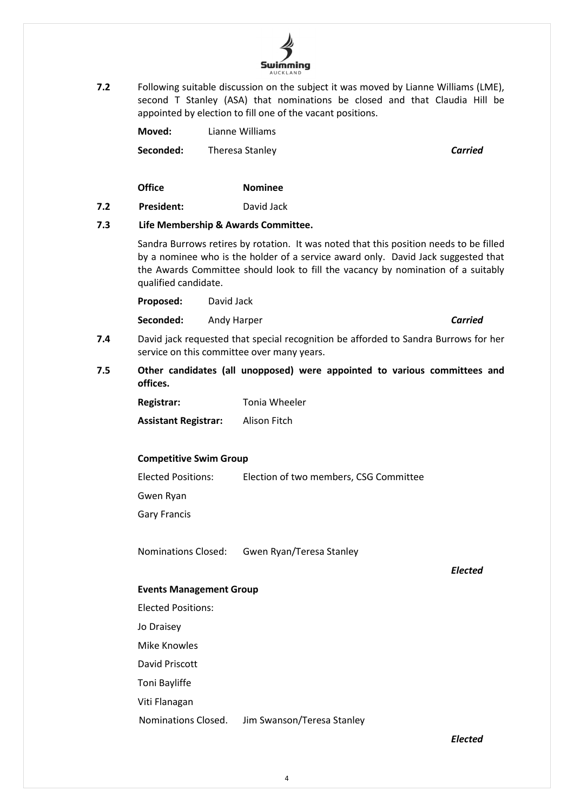

**7.2** Following suitable discussion on the subject it was moved by Lianne Williams (LME), second T Stanley (ASA) that nominations be closed and that Claudia Hill be appointed by election to fill one of the vacant positions.

| Moved: | Lianne Williams |
|--------|-----------------|
|        |                 |
|        |                 |

**Seconded:** Theresa Stanley **Carried Carried** 

**Office Nominee**

**7.2 President:** David Jack

#### **7.3 Life Membership & Awards Committee.**

Sandra Burrows retires by rotation. It was noted that this position needs to be filled by a nominee who is the holder of a service award only. David Jack suggested that the Awards Committee should look to fill the vacancy by nomination of a suitably qualified candidate.

**Proposed:** David Jack

**Seconded:** Andy Harper *Carried*

- **7.4** David jack requested that special recognition be afforded to Sandra Burrows for her service on this committee over many years.
- **7.5 Other candidates (all unopposed) were appointed to various committees and offices.**

| <b>Registrar:</b>           | Tonia Wheeler |
|-----------------------------|---------------|
| <b>Assistant Registrar:</b> | Alison Fitch  |

#### **Competitive Swim Group**

Elected Positions: Election of two members, CSG Committee Gwen Ryan Gary Francis

Nominations Closed: Gwen Ryan/Teresa Stanley

*Elected*

#### **Events Management Group**

Elected Positions:

Jo Draisey

Mike Knowles

David Priscott

Toni Bayliffe

Viti Flanagan

Nominations Closed. Jim Swanson/Teresa Stanley

*Elected*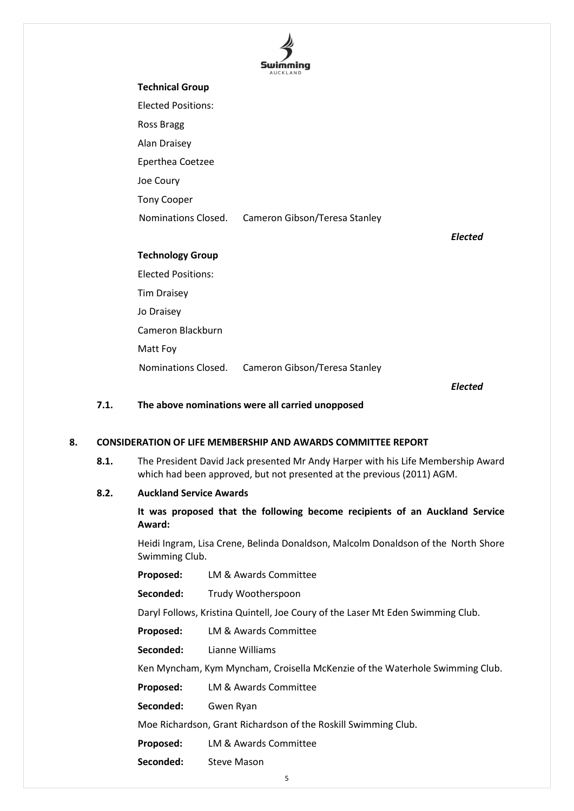

## **Technical Group** Elected Positions: Ross Bragg Alan Draisey Eperthea Coetzee Joe Coury Tony Cooper Nominations Closed. Cameron Gibson/Teresa Stanley *Elected* **Technology Group** Elected Positions: Tim Draisey Jo Draisey Cameron Blackburn Matt Foy Nominations Closed. Cameron Gibson/Teresa Stanley

*Elected*

#### **7.1. The above nominations were all carried unopposed**

#### **8. CONSIDERATION OF LIFE MEMBERSHIP AND AWARDS COMMITTEE REPORT**

**8.1.** The President David Jack presented Mr Andy Harper with his Life Membership Award which had been approved, but not presented at the previous (2011) AGM.

#### **8.2. Auckland Service Awards**

**It was proposed that the following become recipients of an Auckland Service Award:**

Heidi Ingram, Lisa Crene, Belinda Donaldson, Malcolm Donaldson of the North Shore Swimming Club.

**Proposed:** LM & Awards Committee

Seconded: Trudy Wootherspoon

Daryl Follows, Kristina Quintell, Joe Coury of the Laser Mt Eden Swimming Club.

**Proposed:** LM & Awards Committee

**Seconded:** Lianne Williams

Ken Myncham, Kym Myncham, Croisella McKenzie of the Waterhole Swimming Club.

**Proposed:** LM & Awards Committee

**Seconded:** Gwen Ryan

Moe Richardson, Grant Richardson of the Roskill Swimming Club.

**Proposed:** LM & Awards Committee

**Seconded:** Steve Mason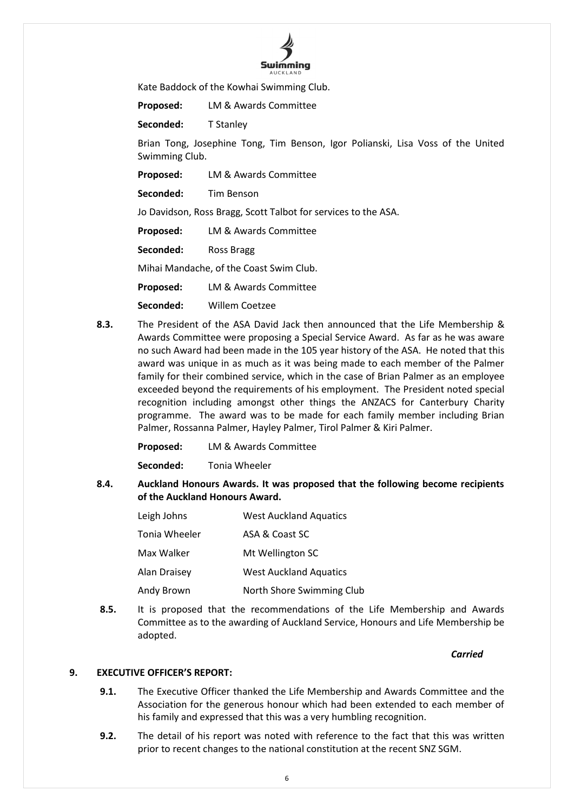

Kate Baddock of the Kowhai Swimming Club.

**Proposed:** LM & Awards Committee

**Seconded:** T Stanley

Brian Tong, Josephine Tong, Tim Benson, Igor Polianski, Lisa Voss of the United Swimming Club.

**Proposed:** LM & Awards Committee

**Seconded:** Tim Benson

Jo Davidson, Ross Bragg, Scott Talbot for services to the ASA.

**Proposed:** LM & Awards Committee

**Seconded:** Ross Bragg

Mihai Mandache, of the Coast Swim Club.

**Proposed:** LM & Awards Committee

**Seconded:** Willem Coetzee

**8.3.** The President of the ASA David Jack then announced that the Life Membership & Awards Committee were proposing a Special Service Award. As far as he was aware no such Award had been made in the 105 year history of the ASA. He noted that this award was unique in as much as it was being made to each member of the Palmer family for their combined service, which in the case of Brian Palmer as an employee exceeded beyond the requirements of his employment. The President noted special recognition including amongst other things the ANZACS for Canterbury Charity programme. The award was to be made for each family member including Brian Palmer, Rossanna Palmer, Hayley Palmer, Tirol Palmer & Kiri Palmer.

**Proposed:** LM & Awards Committee

**Seconded:** Tonia Wheeler

**8.4. Auckland Honours Awards. It was proposed that the following become recipients of the Auckland Honours Award.**

| Leigh Johns   | <b>West Auckland Aquatics</b> |
|---------------|-------------------------------|
| Tonia Wheeler | ASA & Coast SC                |
| Max Walker    | Mt Wellington SC              |
| Alan Draisey  | <b>West Auckland Aquatics</b> |
| Andy Brown    | North Shore Swimming Club     |

**8.5.** It is proposed that the recommendations of the Life Membership and Awards Committee as to the awarding of Auckland Service, Honours and Life Membership be adopted.

*Carried*

#### **9. EXECUTIVE OFFICER'S REPORT:**

- **9.1.** The Executive Officer thanked the Life Membership and Awards Committee and the Association for the generous honour which had been extended to each member of his family and expressed that this was a very humbling recognition.
- **9.2.** The detail of his report was noted with reference to the fact that this was written prior to recent changes to the national constitution at the recent SNZ SGM.